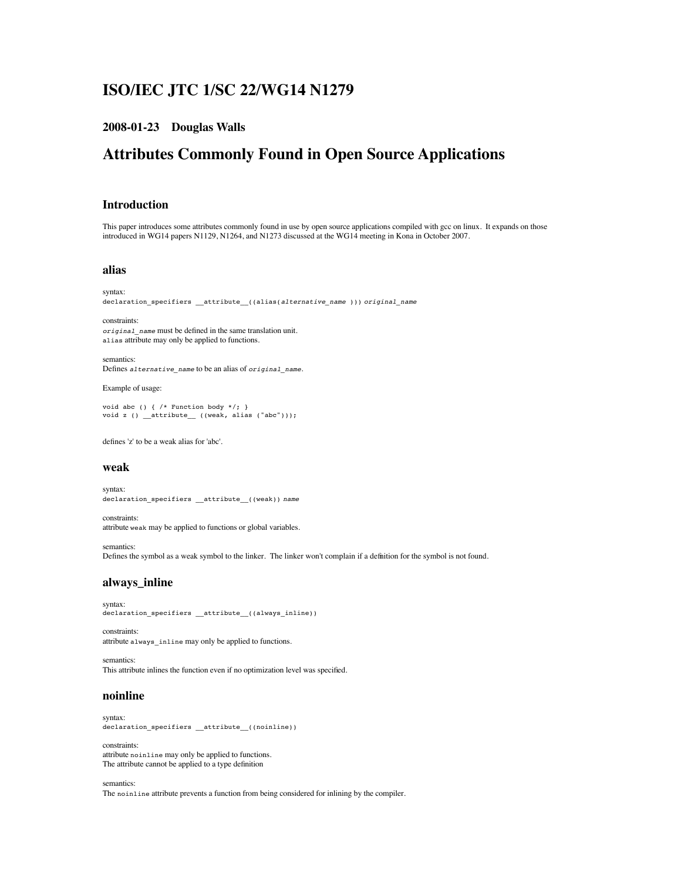# **ISO/IEC JTC 1/SC 22/WG14 N1279**

### **2008-01-23 Douglas Walls**

# **Attributes Commonly Found in Open Source Applications**

#### **Introduction**

This paper introduces some attributes commonly found in use by open source applications compiled with gcc on linux. It expands on those introduced in WG14 papers N1129, N1264, and N1273 discussed at the WG14 meeting in Kona in October 2007.

#### **alias**

```
syntax:
declaration_specifiers __attribute__((alias(alternative_name ))) original_name
```
constraints: *original\_name* must be defined in the same translation unit. alias attribute may only be applied to functions.

semantics: Defines *alternative\_name* to be an alias of *original\_name*.

Example of usage:

```
void abc () { /* Function body */; }<br>void z () _attribute__ ((weak, alias ("abc")));
```
defines 'z' to be a weak alias for 'abc'.

#### **weak**

syntax: declaration\_specifiers \_\_attribute\_\_((weak)) *name*

constraints: attribute weak may be applied to functions or global variables.

semantics: Defines the symbol as a weak symbol to the linker. The linker won't complain if a definition for the symbol is not found.

## **always\_inline**

syntax: declaration\_specifiers \_\_attribute\_\_((always\_inline))

constraints: attribute always\_inline may only be applied to functions.

semantics: This attribute inlines the function even if no optimization level was specified.

#### **noinline**

syntax: declaration\_specifiers \_\_attribute\_\_((noinline))

constraints: attribute noinline may only be applied to functions. The attribute cannot be applied to a type definition

semantics:

The noinline attribute prevents a function from being considered for inlining by the compiler.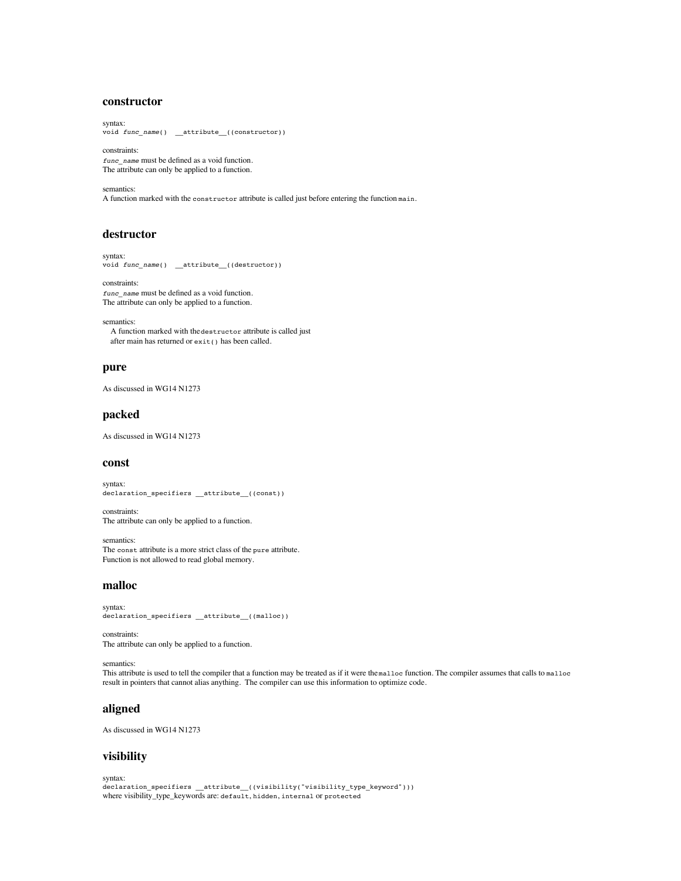# **constructor**

syntax: void *func\_name*() \_\_attribute\_\_((constructor))

constraints: *func\_name* must be defined as a void function. The attribute can only be applied to a function.

semantics: A function marked with the constructor attribute is called just before entering the function main.

#### **destructor**

```
syntax:
void func_name() __attribute__((destructor))
```
constraints: *func\_name* must be defined as a void function. The attribute can only be applied to a function.

semantics: A function marked with the destructor attribute is called just after main has returned or exit() has been called.

#### **pure**

As discussed in WG14 N1273

#### **packed**

As discussed in WG14 N1273

#### **const**

syntax: declaration\_specifiers \_\_attribute\_\_((const))

constraints: The attribute can only be applied to a function.

semantics: The const attribute is a more strict class of the pure attribute. Function is not allowed to read global memory.

#### **malloc**

syntax: declaration\_specifiers \_\_attribute\_\_((malloc))

constraints: The attribute can only be applied to a function.

semantics:

This attribute is used to tell the compiler that a function may be treated as if it were the malloc function. The compiler assumes that calls to malloc result in pointers that cannot alias anything. The compiler can use this information to optimize code.

### **aligned**

As discussed in WG14 N1273

#### **visibility**

syntax:

declaration\_specifiers \_\_attribute\_((visibility("visibility\_type\_keyword"))) where visibility\_type\_keywords are: default, hidden, internal or protected